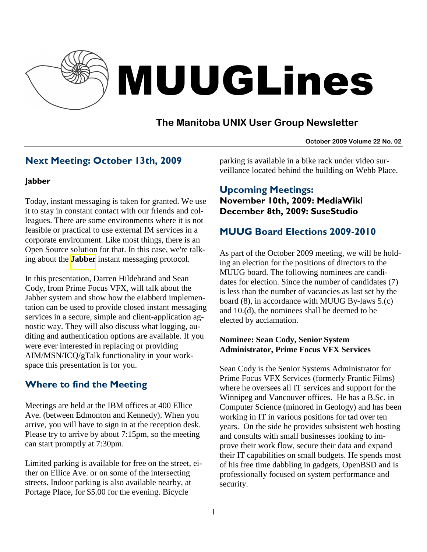

# MUUGLines

# **The Manitoba UNIX User Group Newsletter**

#### **October 2009 Volume 22 No. 02**

## Next Meeting: October 13th, 2009

#### Jabber

Today, instant messaging is taken for granted. We use it to stay in constant contact with our friends and colleagues. There are some environments where it is not feasible or practical to use external IM services in a corporate environment. Like most things, there is an Open Source solution for that. In this case, we're talking about the **[Jabber](http://www.jabber.org/)** instant messaging protocol.

In this presentation, Darren Hildebrand and Sean Cody, from Prime Focus VFX, will talk about the Jabber system and show how the eJabberd implementation can be used to provide closed instant messaging services in a secure, simple and client-application agnostic way. They will also discuss what logging, auditing and authentication options are available. If you were ever interested in replacing or providing AIM/MSN/ICQ/gTalk functionality in your workspace this presentation is for you.

# Where to find the Meeting

Meetings are held at the IBM offices at 400 Ellice Ave. (between Edmonton and Kennedy). When you arrive, you will have to sign in at the reception desk. Please try to arrive by about 7:15pm, so the meeting can start promptly at 7:30pm.

Limited parking is available for free on the street, either on Ellice Ave. or on some of the intersecting streets. Indoor parking is also available nearby, at Portage Place, for \$5.00 for the evening. Bicycle

parking is available in a bike rack under video surveillance located behind the building on Webb Place.

#### Upcoming Meetings: November 10th, 2009: MediaWiki December 8th, 2009: SuseStudio

# MUUG Board Elections 2009-2010

As part of the October 2009 meeting, we will be holding an election for the positions of directors to the MUUG board. The following nominees are candidates for election. Since the number of candidates (7) is less than the number of vacancies as last set by the board (8), in accordance with MUUG By-laws 5.(c) and 10.(d), the nominees shall be deemed to be elected by acclamation.

#### **Nominee: Sean Cody, Senior System Administrator, Prime Focus VFX Services**

Sean Cody is the Senior Systems Administrator for Prime Focus VFX Services (formerly Frantic Films) where he oversees all IT services and support for the Winnipeg and Vancouver offices. He has a B.Sc. in Computer Science (minored in Geology) and has been working in IT in various positions for tad over ten years. On the side he provides subsistent web hosting and consults with small businesses looking to improve their work flow, secure their data and expand their IT capabilities on small budgets. He spends most of his free time dabbling in gadgets, OpenBSD and is professionally focused on system performance and security.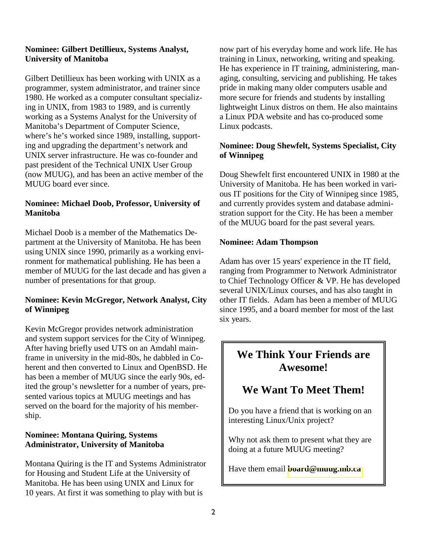#### **Nominee: Gilbert Detillieux, Systems Analyst, University of Manitoba**

Gilbert Detillieux has been working with UNIX as a programmer, system administrator, and trainer since 1980. He worked as a computer consultant specializing in UNIX, from 1983 to 1989, and is currently working as a Systems Analyst for the University of Manitoba's Department of Computer Science, where's he's worked since 1989, installing, supporting and upgrading the department's network and UNIX server infrastructure. He was co-founder and past president of the Technical UNIX User Group (now MUUG), and has been an active member of the MUUG board ever since.

#### **Nominee: Michael Doob, Professor, University of Manitoba**

Michael Doob is a member of the Mathematics Department at the University of Manitoba. He has been using UNIX since 1990, primarily as a working environment for mathematical publishing. He has been a member of MUUG for the last decade and has given a number of presentations for that group.

#### **Nominee: Kevin McGregor, Network Analyst, City of Winnipeg**

Kevin McGregor provides network administration and system support services for the City of Winnipeg. After having briefly used UTS on an Amdahl mainframe in university in the mid-80s, he dabbled in Coherent and then converted to Linux and OpenBSD. He has been a member of MUUG since the early 90s, edited the group's newsletter for a number of years, presented various topics at MUUG meetings and has served on the board for the majority of his membership.

#### **Nominee: Montana Quiring, Systems Administrator, University of Manitoba**

Montana Quiring is the IT and Systems Administrator for Housing and Student Life at the University of Manitoba. He has been using UNIX and Linux for 10 years. At first it was something to play with but is

now part of his everyday home and work life. He has training in Linux, networking, writing and speaking. He has experience in IT training, administering, managing, consulting, servicing and publishing. He takes pride in making many older computers usable and more secure for friends and students by installing lightweight Linux distros on them. He also maintains a Linux PDA website and has co-produced some Linux podcasts.

#### **Nominee: Doug Shewfelt, Systems Specialist, City of Winnipeg**

Doug Shewfelt first encountered UNIX in 1980 at the University of Manitoba. He has been worked in various IT positions for the City of Winnipeg since 1985, and currently provides system and database administration support for the City. He has been a member of the MUUG board for the past several years.

#### **Nominee: Adam Thompson**

Adam has over 15 years' experience in the IT field, ranging from Programmer to Network Administrator to Chief Technology Officer & VP. He has developed several UNIX/Linux courses, and has also taught in other IT fields. Adam has been a member of MUUG since 1995, and a board member for most of the last six years.

# **We Think Your Friends are Awesome!**

# **We Want To Meet Them!**

Do you have a friend that is working on an interesting Linux/Unix project?

Why not ask them to present what they are doing at a future MUUG meeting?

Have them email **[board@muug.mb.ca](mailto:board@muug.mb.ca)**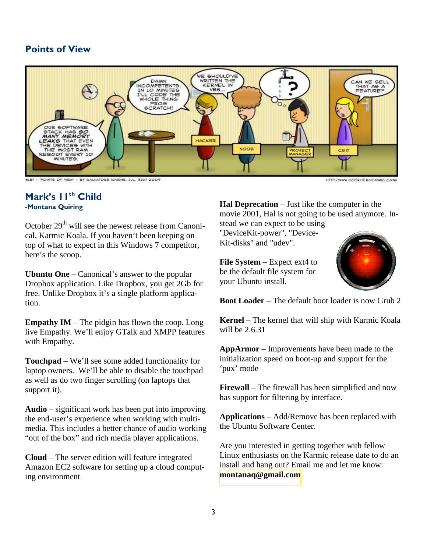### Points of View



#### Mark's 11<sup>th</sup> Child -Montana Quiring

October  $29<sup>th</sup>$  will see the newest release from Canonical, Karmic Koala. If you haven't been keeping on top of what to expect in this Windows 7 competitor, here's the scoop.

**Ubuntu One** – Canonical's answer to the popular Dropbox application. Like Dropbox, you get 2Gb for free. Unlike Dropbox it's a single platform application.

**Empathy IM** – The pidgin has flown the coop. Long live Empathy. We'll enjoy GTalk and XMPP features with Empathy.

**Touchpad** – We'll see some added functionality for laptop owners. We'll be able to disable the touchpad as well as do two finger scrolling (on laptops that support it).

**Audio** – significant work has been put into improving the end-user's experience when working with multimedia. This includes a better chance of audio working "out of the box" and rich media player applications.

**Cloud** – The server edition will feature integrated Amazon EC2 software for setting up a cloud computing environment

**Hal Deprecation** – Just like the computer in the movie 2001, Hal is not going to be used anymore. Instead we can expect to be using

"DeviceKit-power", "Device-Kit-disks" and "udev".

**File System** – Expect ext4 to be the default file system for your Ubuntu install.



**Boot Loader** – The default boot loader is now Grub 2

**Kernel** – The kernel that will ship with Karmic Koala will be 2.6.31

**AppArmor** – Improvements have been made to the initialization speed on boot-up and support for the 'pux' mode

**Firewall** – The firewall has been simplified and now has support for filtering by interface.

**Applications** – Add/Remove has been replaced with the Ubuntu Software Center.

Are you interested in getting together with fellow Linux enthusiasts on the Karmic release date to do an install and hang out? Email me and let me know: **[montanaq@gmail.com](mailto:montanaq@gmail.com)**